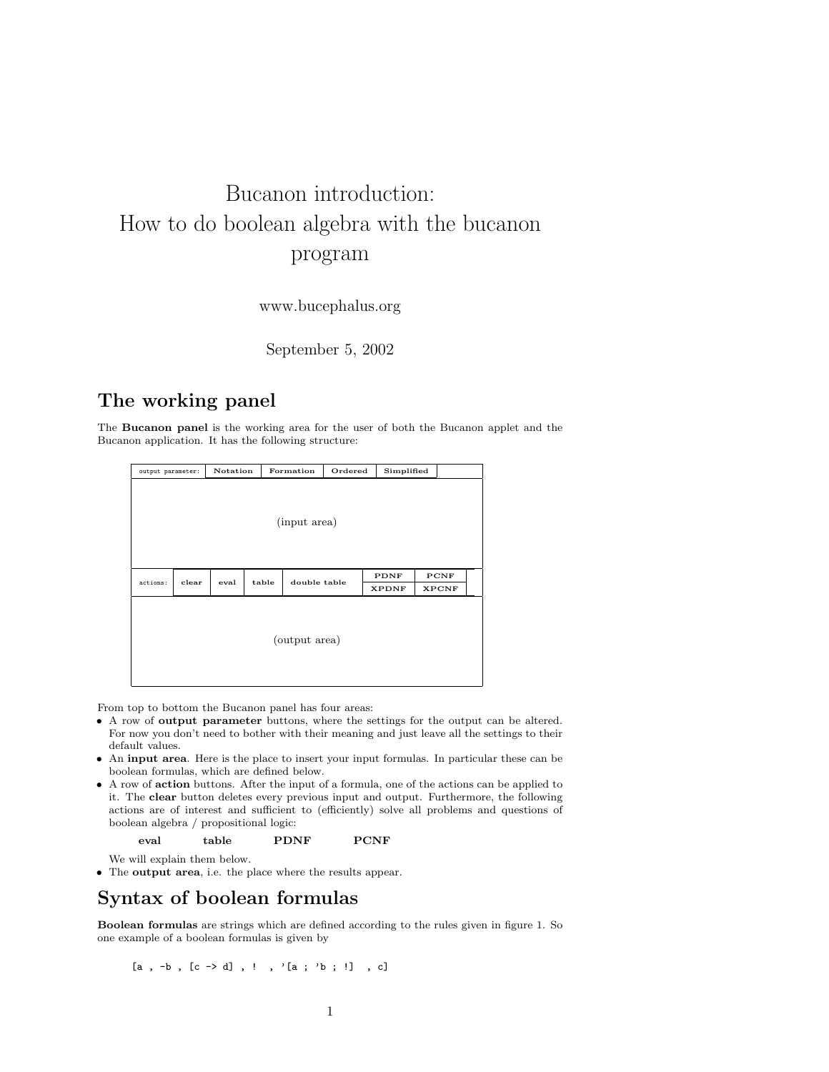# Bucanon introduction: How to do boolean algebra with the bucanon program

www.bucephalus.org

September 5, 2002

## The working panel

The Bucanon panel is the working area for the user of both the Bucanon applet and the Bucanon application. It has the following structure:

| output parameter: |       | Notation |       | Formation    | Ordered |                      | Simplified |                      |  |  |
|-------------------|-------|----------|-------|--------------|---------|----------------------|------------|----------------------|--|--|
| (input area)      |       |          |       |              |         |                      |            |                      |  |  |
| actions:          | clear | eval     | table | double table |         | PDNF<br><b>XPDNF</b> |            | PCNF<br><b>XPCNF</b> |  |  |
| (output area)     |       |          |       |              |         |                      |            |                      |  |  |

From top to bottom the Bucanon panel has four areas:

- A row of output parameter buttons, where the settings for the output can be altered. For now you don't need to bother with their meaning and just leave all the settings to their default values.
- An input area. Here is the place to insert your input formulas. In particular these can be boolean formulas, which are defined below.
- A row of action buttons. After the input of a formula, one of the actions can be applied to it. The clear button deletes every previous input and output. Furthermore, the following actions are of interest and sufficient to (efficiently) solve all problems and questions of boolean algebra / propositional logic:

eval table PDNF PCNF

We will explain them below.

• The output area, i.e. the place where the results appear.

### Syntax of boolean formulas

Boolean formulas are strings which are defined according to the rules given in figure 1. So one example of a boolean formulas is given by

$$
[a , -b , [c -b d] , ! , '[a ; 'b ; !] , c]
$$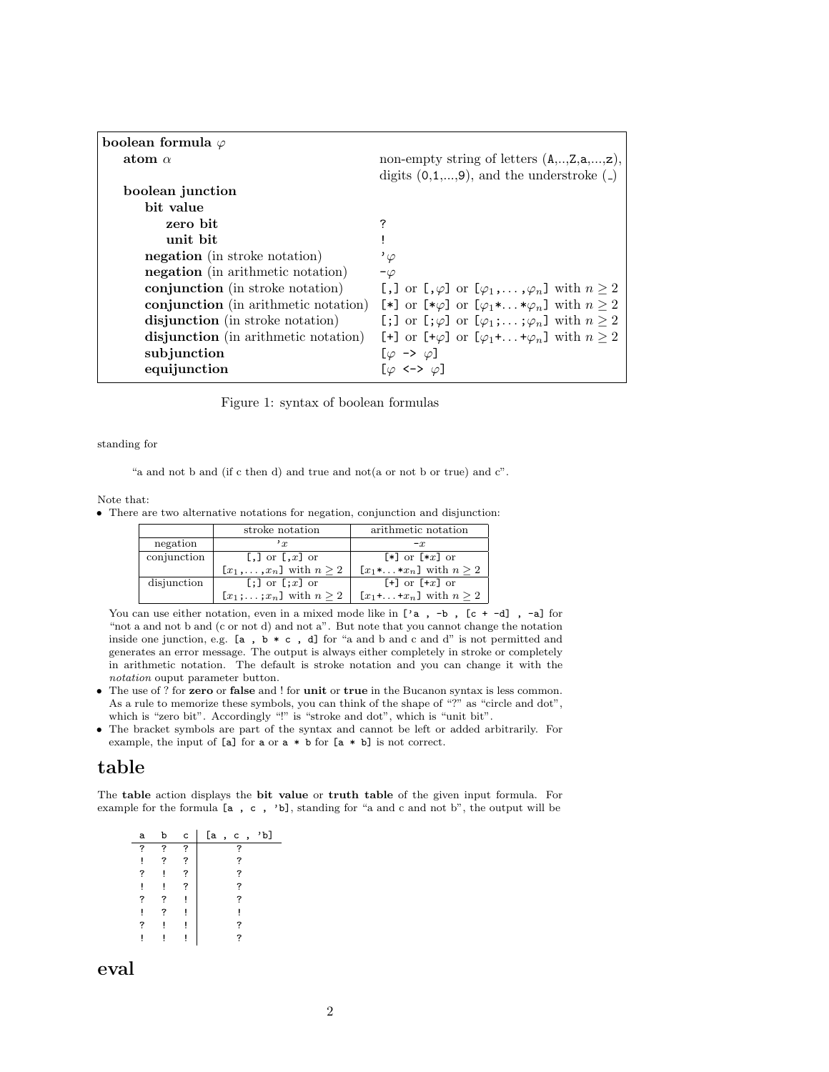| boolean formula $\varphi$            |                                                                                                    |
|--------------------------------------|----------------------------------------------------------------------------------------------------|
| atom $\alpha$                        | non-empty string of letters $(A, \ldots, Z, a, \ldots, z)$ ,                                       |
|                                      | digits $(0,1,,9)$ , and the understroke $($                                                        |
| boolean junction                     |                                                                                                    |
| bit value                            |                                                                                                    |
| zero bit                             | 7                                                                                                  |
| unit bit                             |                                                                                                    |
| <b>negation</b> (in stroke notation) | $^{\prime}\varphi$                                                                                 |
| negation (in arithmetic notation)    | $-\varphi$                                                                                         |
| conjunction (in stroke notation)     | [,] or $\lbrack \varphi \rbrack$ or $\lbrack \varphi_1, \ldots, \varphi_n \rbrack$ with $n \geq 2$ |
| conjunction (in arithmetic notation) | [*] or $[\ast \varphi]$ or $[\varphi_1 \ast  \ast \varphi_n]$ with $n \geq 2$                      |
| disjunction (in stroke notation)     | [;] or $[\varphi]$ or $[\varphi_1; \dots; \varphi_n]$ with $n \geq 2$                              |
| disjunction (in arithmetic notation) | [+] or $[+\varphi]$ or $[\varphi_1 + \dots + \varphi_n]$ with $n \geq 2$                           |
| subjunction                          | $[\varphi \rightarrow \varphi]$                                                                    |
| equijunction                         | $[\varphi \iff \varphi]$                                                                           |

Figure 1: syntax of boolean formulas

standing for

"a and not b and (if c then d) and true and not(a or not b or true) and c".

Note that:

• There are two alternative notations for negation, conjunction and disjunction:

|             | stroke notation                         | arithmetic notation                        |  |  |  |
|-------------|-----------------------------------------|--------------------------------------------|--|--|--|
| negation    | $r_{\rm r}$                             | $-x$                                       |  |  |  |
| conjunction | [,] or $\left[ \cdot, \cdot \right]$ or | $\lceil * \rceil$ or $\lceil *x \rceil$ or |  |  |  |
|             | $[x_1,\ldots,x_n]$ with $n\geq 2$       | $[x_1*, \ldots *x_n]$ with $n \geq 2$      |  |  |  |
| disjunction | $[:]$ or $[:x]$ or                      | $[+]$ or $[+x]$ or                         |  |  |  |
|             | $[x_1;\ldots;x_n]$ with $n\geq 2$       | $[x_1 + \ldots + x_n]$ with $n \geq 2$     |  |  |  |

You can use either notation, even in a mixed mode like in ['a, -b, [c + -d], -a] for "not a and not b and (c or not d) and not a". But note that you cannot change the notation inside one junction, e.g.  $[a, b * c, d]$  for "a and b and c and d" is not permitted and generates an error message. The output is always either completely in stroke or completely in arithmetic notation. The default is stroke notation and you can change it with the notation ouput parameter button.

- The use of ? for zero or false and ! for unit or true in the Bucanon syntax is less common. As a rule to memorize these symbols, you can think of the shape of "?" as "circle and dot", which is "zero bit". Accordingly "!" is "stroke and dot", which is "unit bit".
- The bracket symbols are part of the syntax and cannot be left or added arbitrarily. For example, the input of [a] for a or a \* b for [a \* b] is not correct.

#### table

The table action displays the bit value or truth table of the given input formula. For example for the formula [a , c , 'b], standing for "a and c and not b", the output will be

| а | b | C | [a | $\cdot$ | c | $\cdot$ | 'b1 |
|---|---|---|----|---------|---|---------|-----|
| ? | ? | ? |    |         | 7 |         |     |
| ļ | ? | ? |    |         | ? |         |     |
| ? | ļ | ? |    |         | ? |         |     |
| ļ |   | ? |    |         | ? |         |     |
| ? | ? |   |    |         | ? |         |     |
| ļ | 7 |   |    |         |   |         |     |
| ? | ļ |   |    |         | 7 |         |     |
|   |   |   |    |         | ? |         |     |

eval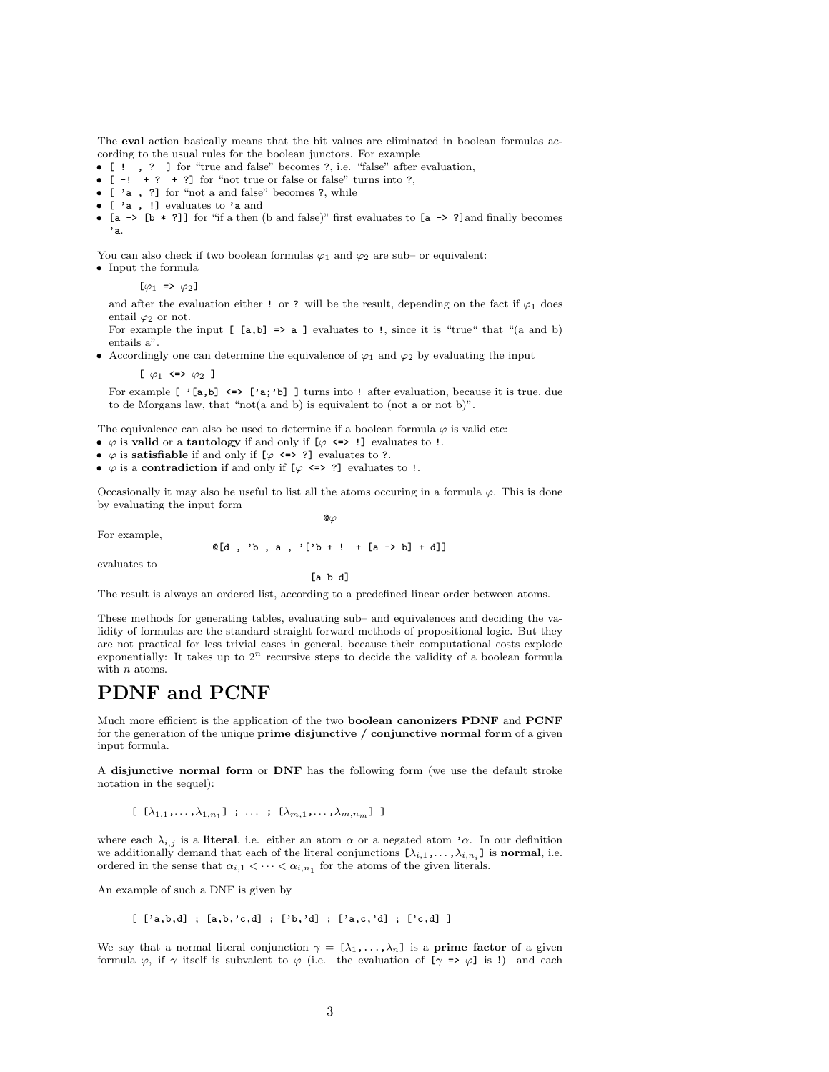The eval action basically means that the bit values are eliminated in boolean formulas according to the usual rules for the boolean junctors. For example

- [ ! , ? ] for "true and false" becomes ?, i.e. "false" after evaluation,
- $[-! + ? + ?]$  for "not true or false or false" turns into ?,
- $\bullet\,$  [  $\,$  'a  $\,$  ,  $\,$  ?] for "not a and false" becomes ?, while
- $\bullet\,$  [  $\,$  'a  $\,$  ,  $\,$  !] evaluates to  $\,$  'a and

• [a -> [b  $*$  ?]] for "if a then (b and false)" first evaluates to [a -> ?] and finally becomes 'a.

You can also check if two boolean formulas  $\varphi_1$  and  $\varphi_2$  are sub- or equivalent:

• Input the formula

 $[\varphi_1 \Rightarrow \varphi_2]$ 

and after the evaluation either ! or ? will be the result, depending on the fact if  $\varphi_1$  does entail  $\varphi_2$  or not.

For example the input  $[$  [a,b] => a ] evaluates to !, since it is "true" that "(a and b) entails a".

• Accordingly one can determine the equivalence of  $\varphi_1$  and  $\varphi_2$  by evaluating the input

[  $\varphi_1$  <=>  $\varphi_2$  ]

For example [ '[a,b] <=> ['a;'b] ] turns into ! after evaluation, because it is true, due to de Morgans law, that "not(a and b) is equivalent to (not a or not b)".

The equivalence can also be used to determine if a boolean formula  $\varphi$  is valid etc:

- $\varphi$  is valid or a tautology if and only if  $[\varphi \iff$  ! evaluates to !.
- $\varphi$  is satisfiable if and only if  $[\varphi \iff ?]$  evaluates to ?.
- $\varphi$  is a contradiction if and only if  $[\varphi \iff ?]$  evaluates to !.

Occasionally it may also be useful to list all the atoms occuring in a formula  $\varphi$ . This is done by evaluating the input form

For example,

 $Q\varphi$ 

 $Q[d, 'b, a, '['b + ! + [a -> b] + d]]$ 

evaluates to

[a b d]

The result is always an ordered list, according to a predefined linear order between atoms.

These methods for generating tables, evaluating sub– and equivalences and deciding the validity of formulas are the standard straight forward methods of propositional logic. But they are not practical for less trivial cases in general, because their computational costs explode exponentially: It takes up to  $2^n$  recursive steps to decide the validity of a boolean formula with *n* atoms.

#### PDNF and PCNF

Much more efficient is the application of the two boolean canonizers PDNF and PCNF for the generation of the unique **prime disjunctive** / conjunctive normal form of a given input formula.

A disjunctive normal form or DNF has the following form (we use the default stroke notation in the sequel):

[  $[\lambda_{1,1},...,\lambda_{1,n_1}]$  ; ... ;  $[\lambda_{m,1},...,\lambda_{m,n_m}]$  ]

where each  $\lambda_{i,j}$  is a literal, i.e. either an atom  $\alpha$  or a negated atom ' $\alpha$ . In our definition we additionally demand that each of the literal conjunctions  $[\lambda_{i,1}, \ldots, \lambda_{i,n_i}]$  is **normal**, i.e. ordered in the sense that  $\alpha_{i,1} < \cdots < \alpha_{i,n_1}$  for the atoms of the given literals.

An example of such a DNF is given by

$$
[ 'a,b,d ] ; [a,b,'c,d] ; ['b,'d] ; ['a,c,'d] ; ['c,d] ]
$$

We say that a normal literal conjunction  $\gamma = [\lambda_1, \ldots, \lambda_n]$  is a **prime factor** of a given formula  $\varphi$ , if  $\gamma$  itself is subvalent to  $\varphi$  (i.e. the evaluation of  $[\gamma \Rightarrow \varphi]$  is !) and each